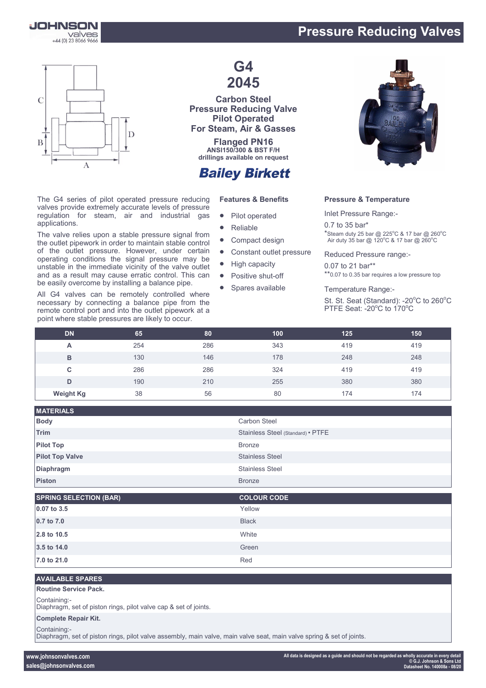

## **Pressure Reducing Valves**



The G4 series of pilot operated pressure reducing valves provide extremely accurate levels of pressure regulation for steam, air and industrial gas applications.

The valve relies upon a stable pressure signal from the outlet pipework in order to maintain stable control of the outlet pressure. However, under certain operating conditions the signal pressure may be unstable in the immediate vicinity of the valve outlet and as a result may cause erratic control. This can be easily overcome by installing a balance pipe.

All G4 valves can be remotely controlled where necessary by connecting a balance pipe from the remote control port and into the outlet pipework at a point where stable pressures are likely to occur.

## **G4 2045**

**Carbon Steel Pressure Reducing Valve Pilot Operated For Steam, Air & Gasses**

**Flanged PN16 ANSI150/300 & BST F/H drillings available on request**

## **Bailey Birkett**

#### **Features & Benefits**

- Pilot operated
- Reliable
- Compact design
- Constant outlet pressure
- High capacity
- Positive shut-off
- Spares available



#### **Pressure & Temperature**

Inlet Pressure Range:-

0.7 to 35 bar\*  $*$ Steam duty 25 bar @ 225°C & 17 bar @ 260°C Air duty 35 bar @ 120 $^{\circ}$ C & 17 bar @ 260 $^{\circ}$ C

Reduced Pressure range:-

0.07 to 21 bar\*\* \*\*0.07 to 0.35 bar requires a low pressure top

Temperature Range:-

St. St. Seat (Standard): -20°C to 260°C PTFE Seat: - 20°C to 170°C

| <b>DN</b>        | 65  | 80  | 100 | 125 | 150 |
|------------------|-----|-----|-----|-----|-----|
| A                | 254 | 286 | 343 | 419 | 419 |
| B                | 130 | 146 | 178 | 248 | 248 |
| С                | 286 | 286 | 324 | 419 | 419 |
| D                | 190 | 210 | 255 | 380 | 380 |
| <b>Weight Kg</b> | 38  | 56  | 80  | 174 | 174 |

| <b>Carbon Steel</b>               |
|-----------------------------------|
|                                   |
| Stainless Steel (Standard) • PTFE |
|                                   |
| <b>Stainless Steel</b>            |
| <b>Stainless Steel</b>            |
|                                   |
|                                   |

| <b>SPRING SELECTION (BAR)</b> | <b>COLOUR CODE</b> |
|-------------------------------|--------------------|
| 0.07 to 3.5                   | Yellow             |
| 0.7 to 7.0                    | <b>Black</b>       |
| 2.8 to 10.5                   | White              |
| 3.5 to 14.0                   | Green              |
| 7.0 to 21.0                   | Red                |

#### **AVAILABLE SPARES**

#### **Routine Service Pack.**

Containing:-

Diaphragm, set of piston rings, pilot valve cap & set of joints.

#### **Complete Repair Kit.**

Containing:-

Diaphragm, set of piston rings, pilot valve assembly, main valve, main valve seat, main valve spring & set of joints.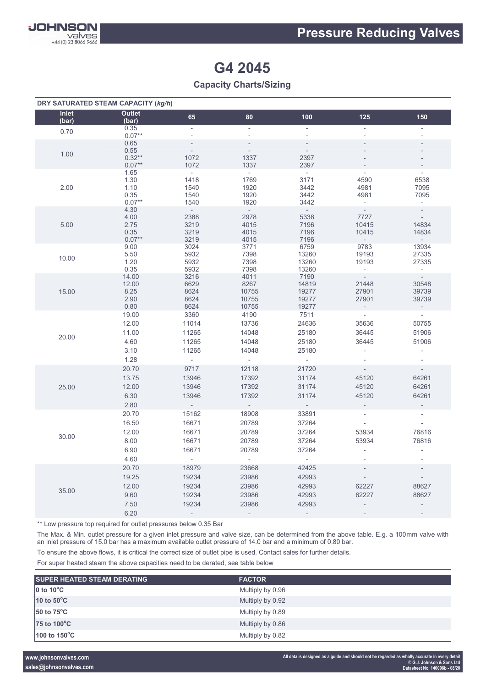

# **G4 2045**

### **Capacity Charts/Sizing**

| DRY SATURATED STEAM CAPACITY (kg/h) |                                                 |                                                                          |                                                              |                                                                 |                                                                                          |                                                                                    |
|-------------------------------------|-------------------------------------------------|--------------------------------------------------------------------------|--------------------------------------------------------------|-----------------------------------------------------------------|------------------------------------------------------------------------------------------|------------------------------------------------------------------------------------|
| Inlet<br>(bar)                      | <b>Outlet</b><br>(bar)                          | 65                                                                       | 80                                                           | 100                                                             | 125                                                                                      | 150                                                                                |
| 0.70                                | 0.35<br>$0.07**$                                | $\overline{\phantom{a}}$                                                 | $\overline{\phantom{a}}$<br>$\mathcal{L}$                    | ÷.<br>$\overline{\phantom{a}}$                                  | $\overline{\phantom{a}}$<br>$\overline{\phantom{a}}$                                     | $\overline{\phantom{a}}$                                                           |
| 1.00                                | 0.65<br>0.55<br>$0.32**$<br>$0.07**$            | $\overline{\phantom{a}}$<br>1072<br>1072                                 | 1337<br>1337                                                 | 2397<br>2397                                                    |                                                                                          |                                                                                    |
| 2.00                                | 1.65<br>1.30<br>1.10<br>0.35<br>$0.07**$        | $\sim$<br>1418<br>1540<br>1540<br>1540                                   | $\sim$<br>1769<br>1920<br>1920<br>1920                       | $\sim$<br>3171<br>3442<br>3442<br>3442                          | $\overline{\phantom{a}}$<br>4590<br>4981<br>4981<br>$\sim$                               | $\overline{\phantom{a}}$<br>6538<br>7095<br>7095<br>$\mathcal{L}_{\mathcal{A}}$    |
| 5.00                                | 4.30<br>4.00<br>2.75<br>0.35<br>$0.07**$        | 2388<br>3219<br>3219<br>3219                                             | $\sim$<br>2978<br>4015<br>4015<br>4015                       | $\sim$<br>5338<br>7196<br>7196<br>7196                          | $\mathcal{L}$<br>7727<br>10415<br>10415<br>$\sim$                                        | $\overline{\phantom{a}}$<br>14834<br>14834<br>$\sim$                               |
| 10.00                               | 9.00<br>5.50<br>1.20<br>0.35                    | 3024<br>5932<br>5932<br>5932                                             | 3771<br>7398<br>7398<br>7398                                 | 6759<br>13260<br>13260<br>13260                                 | 9783<br>19193<br>19193<br>$\mathcal{L}_{\mathcal{A}}$                                    | 13934<br>27335<br>27335<br>$\sim$                                                  |
| 15.00                               | 14.00<br>12.00<br>8.25<br>2.90<br>0.80          | 3216<br>6629<br>8624<br>8624<br>8624                                     | 4011<br>8267<br>10755<br>10755<br>10755                      | 7190<br>14819<br>19277<br>19277<br>19277                        | 21448<br>27901<br>27901                                                                  | $\sim$<br>30548<br>39739<br>39739                                                  |
| 20.00                               | 19.00<br>12.00<br>11.00<br>4.60<br>3.10<br>1.28 | 3360<br>11014<br>11265<br>11265<br>11265<br>$\mathcal{L}^{\pm}$          | 4190<br>13736<br>14048<br>14048<br>14048<br>$\omega_{\rm c}$ | 7511<br>24636<br>25180<br>25180<br>25180<br>$\omega$            | $\mathcal{L}_{\mathcal{A}}$<br>35636<br>36445<br>36445<br>÷.<br>$\overline{\phantom{a}}$ | $\mathcal{L}_{\mathcal{A}}$<br>50755<br>51906<br>51906<br>$\overline{\phantom{a}}$ |
| 25.00                               | 20.70<br>13.75<br>12.00<br>6.30<br>2.80         | 9717<br>13946<br>13946<br>13946<br>$\mathcal{L}_{\mathcal{A}}$           | 12118<br>17392<br>17392<br>17392<br>$\sim$                   | 21720<br>31174<br>31174<br>31174<br>$\mathcal{L}_{\mathcal{A}}$ | $\sim$<br>45120<br>45120<br>45120<br>$\overline{\phantom{m}}$                            | $\sim$<br>64261<br>64261<br>64261<br>$\overline{\phantom{a}}$                      |
| 30.00                               | 20.70<br>16.50<br>12.00<br>8.00<br>6.90<br>4.60 | 15162<br>16671<br>16671<br>16671<br>16671<br>$\omega_{\rm{eff}}$         | 18908<br>20789<br>20789<br>20789<br>20789<br>$\omega$ .      | 33891<br>37264<br>37264<br>37264<br>37264<br>$\sim$             | $\overline{\phantom{a}}$<br>$\overline{\phantom{a}}$<br>53934<br>53934<br>$\overline{a}$ | $\overline{\phantom{a}}$<br>76816<br>76816<br>$\overline{\phantom{a}}$             |
| 35.00                               | 20.70<br>19.25<br>12.00<br>9.60<br>7.50<br>6.20 | 18979<br>19234<br>19234<br>19234<br>19234<br>$\mathcal{L}^{\mathcal{A}}$ | 23668<br>23986<br>23986<br>23986<br>23986<br>$\mathcal{L}$   | 42425<br>42993<br>42993<br>42993<br>42993<br>$\sim$             | $\overline{\phantom{a}}$<br>62227<br>62227<br>$\qquad \qquad -$                          | $\overline{\phantom{a}}$<br>88627<br>88627                                         |

\*\* Low pressure top required for outlet pressures below 0.35 Bar

The Max. & Min. outlet pressure for a given inlet pressure and valve size, can be determined from the above table. E.g. a 100mm valve with an inlet pressure of 15.0 bar has a maximum available outlet pressure of 14.0 bar and a minimum of 0.80 bar.

To ensure the above flows, it is critical the correct size of outlet pipe is used. Contact sales for further details.

For super heated steam the above capacities need to be derated, see table below

| <b>SUPER HEATED STEAM DERATING</b> | <b>FACTOR</b>    |  |
|------------------------------------|------------------|--|
| $\overline{0}$ to 10 $\degree$ C   | Multiply by 0.96 |  |
| 10 to $50^{\circ}$ C               | Multiply by 0.92 |  |
| 50 to $75^{\circ}$ C               | Multiply by 0.89 |  |
| 75 to 100°C                        | Multiply by 0.86 |  |
| 100 to $150^{\circ}$ C             | Multiply by 0.82 |  |